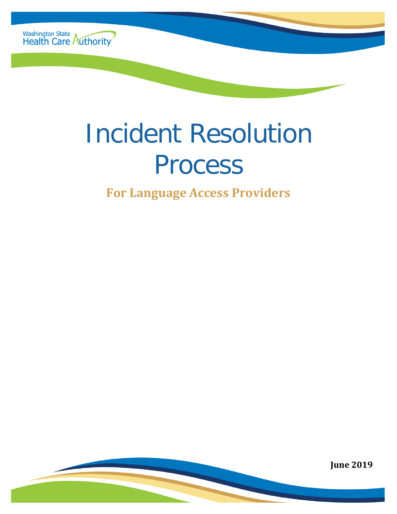

# Incident Resolution Process

**For Language Access Providers**

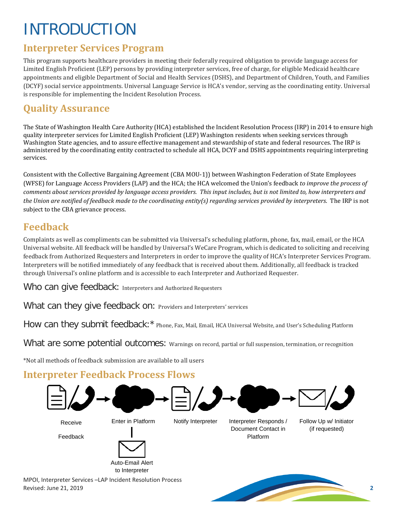# INTRODUCTION

#### **Interpreter Services Program**

This program supports healthcare providers in meeting their federally required obligation to provide language access for Limited English Proficient (LEP) persons by providing interpreter services, free of charge, for eligible Medicaid healthcare appointments and eligible Department of Social and Health Services (DSHS), and Department of Children, Youth, and Families (DCYF) social service appointments. Universal Language Service is HCA's vendor, serving as the coordinating entity. Universal is responsible for implementing the Incident Resolution Process.

# **Quality Assurance**

The State of Washington Health Care Authority (HCA) established the Incident Resolution Process (IRP) in 2014 to ensure high quality interpreter services for Limited English Proficient (LEP) Washington residents when seeking services through Washington State agencies, and to assure effective management and stewardship of state and federal resources. The IRP is administered by the coordinating entity contracted to schedule all HCA, DCYF and DSHS appointments requiring interpreting services.

Consistent with the Collective Bargaining Agreement (CBA MOU-1)) between Washington Federation of State Employees (WFSE) for Language Access Providers (LAP) and the HCA; the HCA welcomed the Union's feedback *to improve the process of comments about services provided by language access providers. This input includes, but is not limited to, how interpreters and the Union are notified of feedback made to the coordinating entity(s) regarding services provided by interpreters*. The IRP is not subject to the CBA grievance process.

#### **Feedback**

Complaints as well as compliments can be submitted via Universal's scheduling platform, phone, fax, mail, email, or the HCA Universal website. All feedback will be handled by Universal's WeCare Program, which is dedicated to soliciting and receiving feedback from Authorized Requesters and Interpreters in order to improve the quality of HCA's Interpreter Services Program. Interpreters will be notified immediately of any feedback that is received about them. Additionally, all feedback is tracked through Universal's online platform and is accessible to each Interpreter and Authorized Requester.

Who can give feedback: Interpreters and Authorized Requesters

What can they give feedback on: Providers and Interpreters' services

How can they submit feedback:\* Phone, Fax, Mail, Email, HCA Universal Website, and User's Scheduling Platform

What are some potential outcomes: Warnings on record, partial or full suspension, termination, or recognition

\*Not all methods of feedback submission are available to all users

#### **Interpreter Feedback Process Flows**



Revised: June 21, 2019 **2**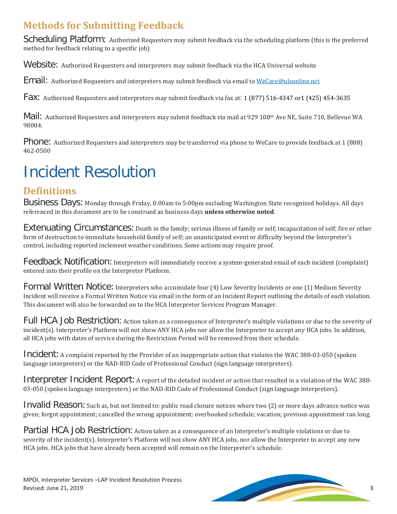# **Methods for Submitting Feedback**

Scheduling Platform: Authorized Requesters may submit feedback via the scheduling platform (this is the preferred method for feedback relating to a specific job)

Website: Authorized Requesters and interpreters may submit feedback via the HCA Universal website

Email: Authorized Requesters and interpreters may submit feedback via email to [WeCare@ulsonline.net](mailto:WeCare@ulsonline.net)

Fax: Authorized Requesters and interpreters may submit feedback via fax at: 1 (877) 516-4347 or1 (425) 454-3635

Mail: Authorized Requesters and interpreters may submit feedback via mail at 929 108th Ave NE, Suite 710, Bellevue WA 98004.

Phone: Authorized Requesters and interpreters may be transferred via phone to WeCare to provide feedback at 1 (888) 462-0500

# Incident Resolution

# **Definitions**

Business Days: Monday through Friday, 8:00am to 5:00pm excluding Washington State recognized holidays. All days referenced in this document are to be construed as business days **unless otherwise noted**.

Extenuating Circumstances: Death in the family; serious illness of family or self; incapacitation of self; fire or other form of destruction to immediate household family of self; an unanticipated event or difficulty beyond the Interpreter's control, including reported inclement weather conditions. Some actions may require proof.

Feedback Notification: Interpreters will immediately receive a system-generated email of each incident (complaint) entered into their profile on the Interpreter Platform.

Formal Written Notice: Interpreters who accumulate four (4) Low Severity Incidents or one (1) Medium Severity Incident will receive a Formal Written Notice via email in the form of an Incident Report outlining the details of each violation. This document will also be forwarded on to the HCA Interpreter Services Program Manager.

Full HCA Job Restriction: Action taken as a consequence of Interpreter's multiple violations or due to the severity of incident(s). Interpreter's Platform will not show ANY HCA jobs nor allow the Interpreter to accept any HCA jobs. In addition, all HCA jobs with dates of service during the Restriction Period will be removed from their schedule.

Incident: A complaint reported by the Provider of an inappropriate action that violates the WAC 388-03-050 (spoken language interpreters) or the NAD-RID Code of Professional Conduct (sign language interpreters).

Interpreter Incident Report: A report of the detailed incident or action that resulted in a violation of the WAC 388-03-050 (spoken language interpreters) or the NAD-RID Code of Professional Conduct (sign language interpreters).

Invalid Reason: Such as, but not limited to: public road closure notices where two (2) or more days advance notice was given; forgot appointment; cancelled the wrong appointment; overbooked schedule; vacation; previous appointment ran long.

Partial HCA Job Restriction: Action taken as a consequence of an Interpreter's multiple violations or due to severity of the incident(s). Interpreter's Platform will not show ANY HCA jobs, nor allow the Interpreter to accept any new HCA jobs. HCA jobs that have already been accepted will remain on the Interpreter's schedule.

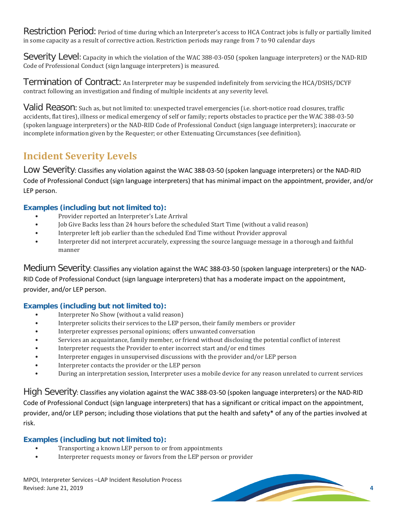Restriction Period: Period of time during which an Interpreter's access to HCA Contract jobs is fully or partially limited in some capacity as a result of corrective action. Restriction periods may range from 7 to 90 calendar days

Severity Level: Capacity in which the violation of the WAC 388-03-050 (spoken language interpreters) or the NAD-RID Code of Professional Conduct (sign language interpreters) is measured.

Termination of Contract: An Interpreter may be suspended indefinitely from servicing the HCA/DSHS/DCYF contract following an investigation and finding of multiple incidents at any severity level.

Valid Reason: Such as, but not limited to: unexpected travel emergencies (i.e. short-notice road closures, traffic accidents, flat tires), illness or medical emergency of self or family; reports obstacles to practice per the WAC 388-03-50 (spoken language interpreters) or the NAD-RID Code of Professional Conduct (sign language interpreters); inaccurate or incomplete information given by the Requester; or other Extenuating Circumstances (see definition).

#### **Incident Severity Levels**

Low Severity: Classifies any violation against the WAC 388-03-50 (spoken language interpreters) or the NAD-RID Code of Professional Conduct (sign language interpreters) that has minimal impact on the appointment, provider, and/or LEP person.

#### **Examples (including but not limited to):**

- Provider reported an Interpreter's Late Arrival
- Job Give Backs less than 24 hours before the scheduled Start Time (without a valid reason)
- Interpreter left job earlier than the scheduled End Time without Provider approval
- Interpreter did not interpret accurately, expressing the source language message in a thorough and faithful manner

Medium Severity: Classifies any violation against the WAC 388-03-50 (spoken language interpreters) or the NAD-RID Code of Professional Conduct (sign language interpreters) that has a moderate impact on the appointment, provider, and/or LEP person.

#### **Examples (including but not limited to):**

- Interpreter No Show (without a valid reason)
- Interpreter solicits their services to the LEP person, their family members or provider
- Interpreter expresses personal opinions; offers unwanted conversation
- Services an acquaintance, family member, or friend without disclosing the potential conflict of interest
- Interpreter requests the Provider to enter incorrect start and/or end times
- Interpreter engages in unsupervised discussions with the provider and/or LEP person
- Interpreter contacts the provider or the LEP person
- During an interpretation session, Interpreter uses a mobile device for any reason unrelated to current services

High Severity: Classifies any violation against the WAC 388-03-50 (spoken language interpreters) or the NAD-RID Code of Professional Conduct (sign language interpreters) that has a significant or critical impact on the appointment, provider, and/or LEP person; including those violations that put the health and safety\* of any of the parties involved at risk.

#### **Examples (including but not limited to):**

- Transporting a known LEP person to or from appointments<br>• Interpreter requests money or favors from the LEP person c
- Interpreter requests money or favors from the LEP person or provider

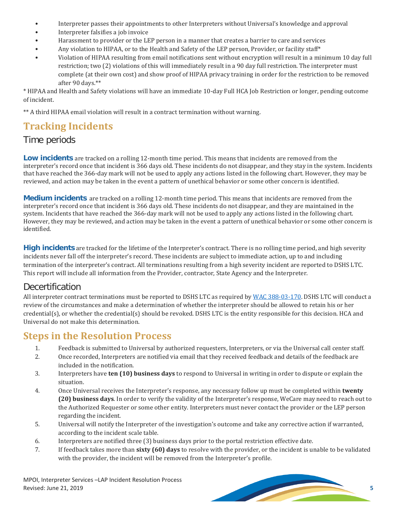- Interpreter passes their appointments to other Interpreters without Universal's knowledge and approval
- Interpreter falsifies a job invoice
- Harassment to provider or the LEP person in a manner that creates a barrier to care and services
- Any violation to HIPAA, or to the Health and Safety of the LEP person, Provider, or facility staff\*
- Violation of HIPAA resulting from email notifications sent without encryption will result in a minimum 10 day full restriction; two (2) violations of this will immediately result in a 90 day full restriction. The interpreter must complete (at their own cost) and show proof of HIPAA privacy training in order for the restriction to be removed after 90 days.\*\*

\* HIPAA and Health and Safety violations will have an immediate 10-day Full HCA Job Restriction or longer, pending outcome of incident.

\*\* A third HIPAA email violation will result in a contract termination without warning.

## **Tracking Incidents**

#### Time periods

**Low incidents** are tracked on a rolling 12-month time period. This means that incidents are removed from the interpreter's record once that incident is 366 days old. These incidents do not disappear, and they stay in the system. Incidents that have reached the 366-day mark will not be used to apply any actions listed in the following chart. However, they may be reviewed, and action may be taken in the event a pattern of unethical behavior or some other concern is identified.

**Medium incidents** are tracked on a rolling 12-month time period. This means that incidents are removed from the interpreter's record once that incident is 366 days old. These incidents do not disappear, and they are maintained in the system. Incidents that have reached the 366-day mark will not be used to apply any actions listed in the following chart. However, they may be reviewed, and action may be taken in the event a pattern of unethical behavior or some other concern is identified.

**High incidents** are tracked for the lifetime of the Interpreter's contract. There is no rolling time period, and high severity incidents never fall off the interpreter's record. These incidents are subject to immediate action, up to and including termination of the interpreter's contract. All terminations resulting from a high severity incident are reported to DSHS LTC. This report will include all information from the Provider, contractor, State Agency and the Interpreter.

#### Decertification

All interpreter contract terminations must be reported to DSHS LTC as required b[y WAC 388-03-170.](http://apps.leg.wa.gov/WAC/default.aspx?cite=388-03-170) DSHS LTC will conduct a review of the circumstances and make a determination of whether the interpreter should be allowed to retain his or her credential(s), or whether the credential(s) should be revoked. DSHS LTC is the entity responsible for this decision. HCA and Universal do not make this determination.

#### **Steps in the Resolution Process**

- 1. Feedback is submitted to Universal by authorized requesters, Interpreters, or via the Universal call center staff.<br>2. Once recorded. Interpreters are notified via email that they received feedback and details of the fee
- 2. Once recorded, Interpreters are notified via email that they received feedback and details of the feedback are included in the notification.
- 3. Interpreters have **ten (10) business days** to respond to Universal in writing in order to dispute or explain the situation.
- 4. Once Universal receives the Interpreter's response, any necessary follow up must be completed within **twenty (20) business days**. In order to verify the validity of the Interpreter's response, WeCare may need to reach out to the Authorized Requester or some other entity. Interpreters must never contact the provider or the LEP person regarding the incident.
- 5. Universal will notify the Interpreter of the investigation's outcome and take any corrective action if warranted, according to the incident scale table.
- 6. Interpreters are notified three (3) business days prior to the portal restriction effective date.<br>7. If feedback takes more than **sixty (60) days** to resolve with the provider, or the incident is ure
- 7. If feedback takes more than **sixty (60) days** to resolve with the provider, or the incident is unable to be validated with the provider, the incident will be removed from the Interpreter's profile.

MPOI, Interpreter Services –LAP Incident Resolution Process